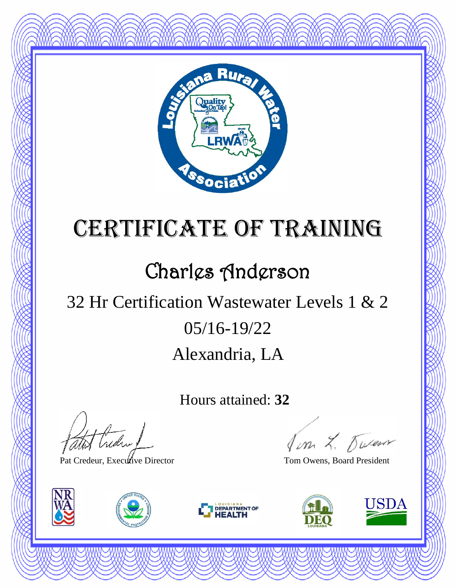

### Charles Anderson

## Alexandria, LA 05/16-19/22 32 Hr Certification Wastewater Levels 1 & 2

Hours attained: **32**

thedral

Pat Credeur, Executive Director Tom Owens, Board President







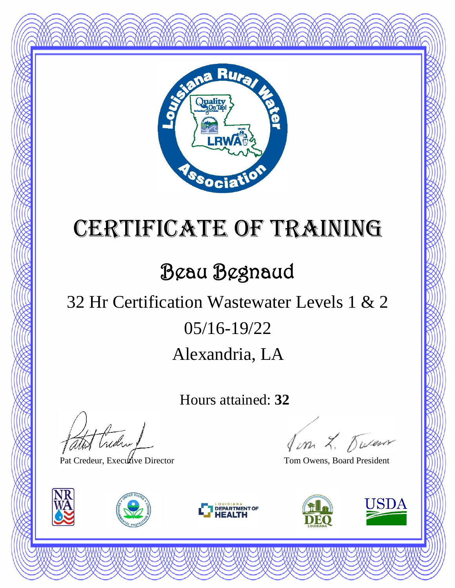

## Beau Begnaud

### Alexandria, LA 05/16-19/22 32 Hr Certification Wastewater Levels 1 & 2

Hours attained: **32**

atot Creden

Pat Credeur, Executive Director Tom Owens, Board President







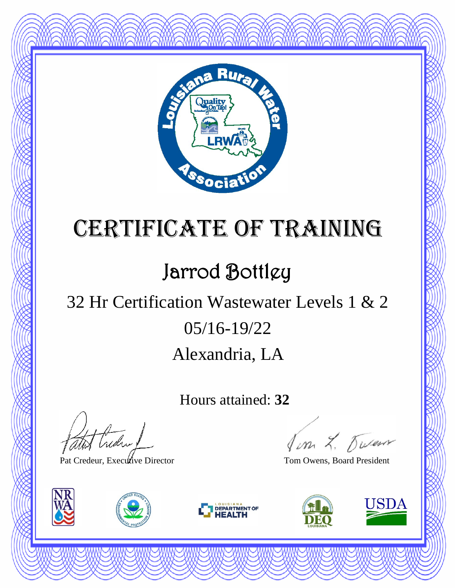

## Jarrod Bottlgy

### Alexandria, LA 05/16-19/22 32 Hr Certification Wastewater Levels 1 & 2

Hours attained: **32**

thedral

Pat Credeur, Executive Director Tom Owens, Board President







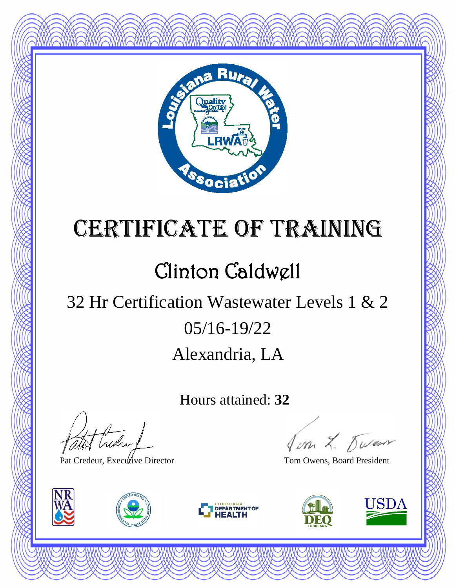

### Clinton Caldwell

### Alexandria, LA 05/16-19/22 32 Hr Certification Wastewater Levels 1 & 2

Hours attained: **32**

thedral

Pat Credeur, Executive Director Tom Owens, Board President







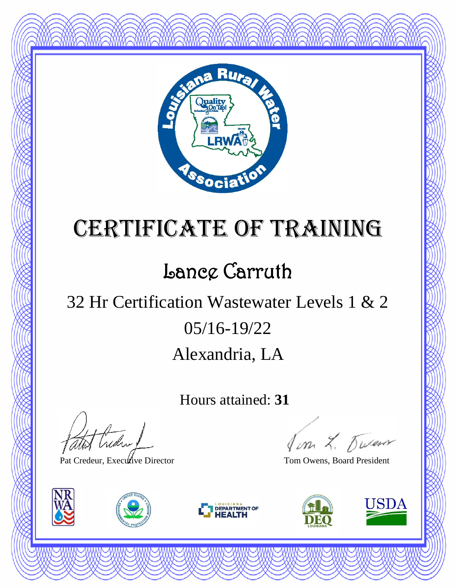

#### Lance Carruth

### Alexandria, LA 05/16-19/22 32 Hr Certification Wastewater Levels 1 & 2

Hours attained: **31**

atot Creden

Pat Credeur, Executive Director Tom Owens, Board President







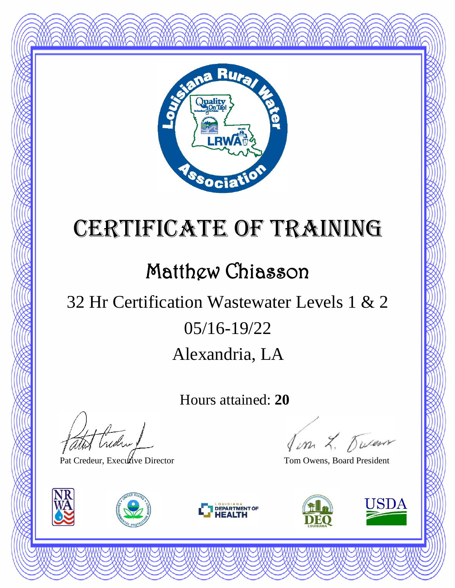

#### Matthew Chiasson

## Alexandria, LA 05/16-19/22 32 Hr Certification Wastewater Levels 1 & 2

Hours attained: **20**

thedral

Pat Credeur, Executive Director Tom Owens, Board President







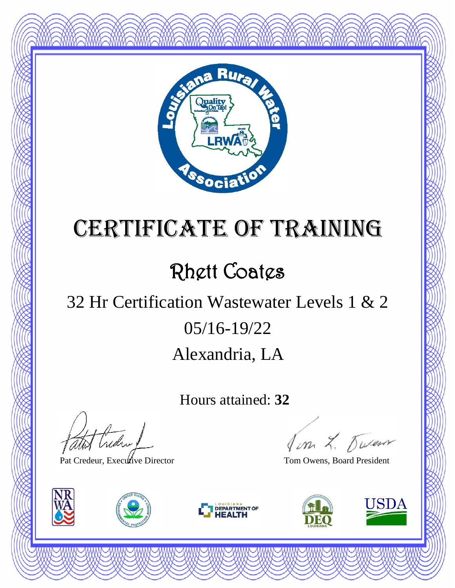

## Rhett Coates

## Alexandria, LA 05/16-19/22 32 Hr Certification Wastewater Levels 1 & 2

Hours attained: **32**

atot Creden

Pat Credeur, Executive Director Tom Owens, Board President







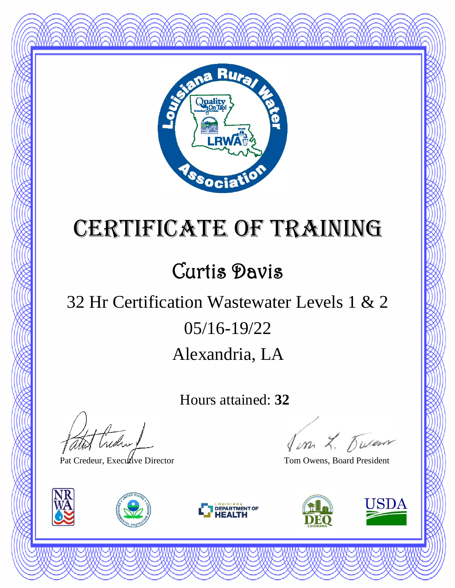

## Curtis Davis

## Alexandria, LA 05/16-19/22 32 Hr Certification Wastewater Levels 1 & 2

Hours attained: **32**

atot Creden 1

Pat Credeur, Executive Director Tom Owens, Board President







Jon L. Duren

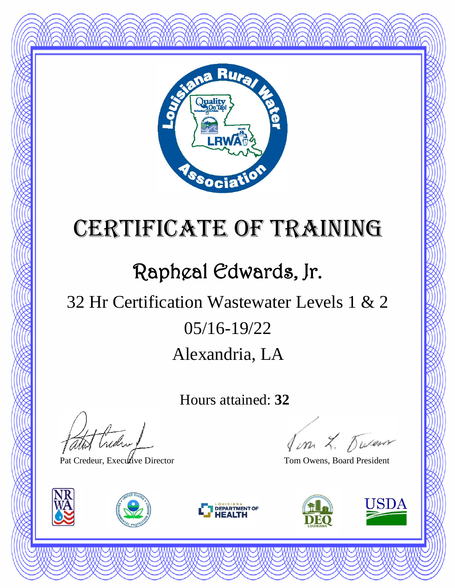

## Rapheal Edwards, Jr.

## Alexandria, LA 05/16-19/22 32 Hr Certification Wastewater Levels 1 & 2

Hours attained: **32**

Hudry

Pat Credeur, Executive Director Tom Owens, Board President







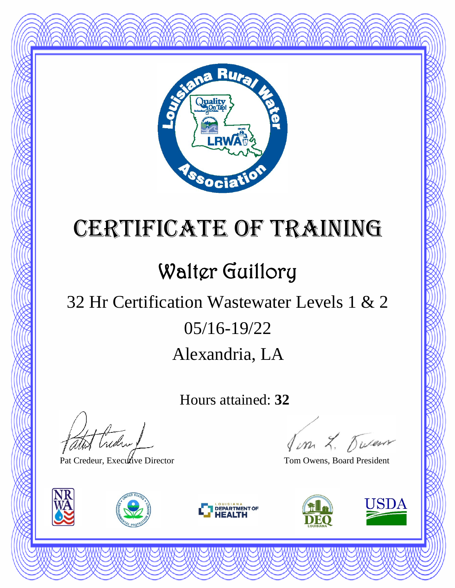

## Walter Guillory

### Alexandria, LA 05/16-19/22 32 Hr Certification Wastewater Levels 1 & 2

Hours attained: **32**

thedra !

Pat Credeur, Executive Director Tom Owens, Board President







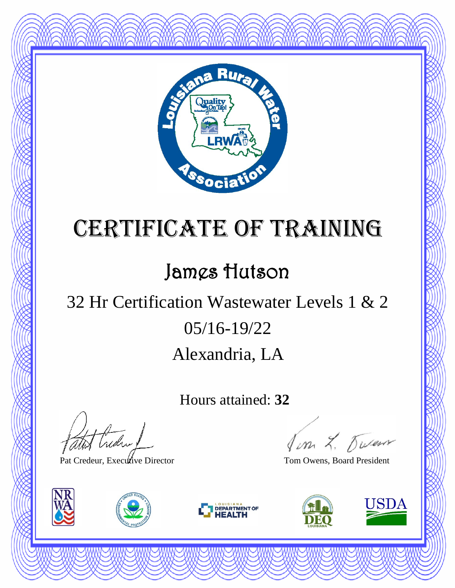

#### James Hutson

### Alexandria, LA 05/16-19/22 32 Hr Certification Wastewater Levels 1 & 2

Hours attained: **32**

thedral

Pat Credeur, Executive Director Tom Owens, Board President







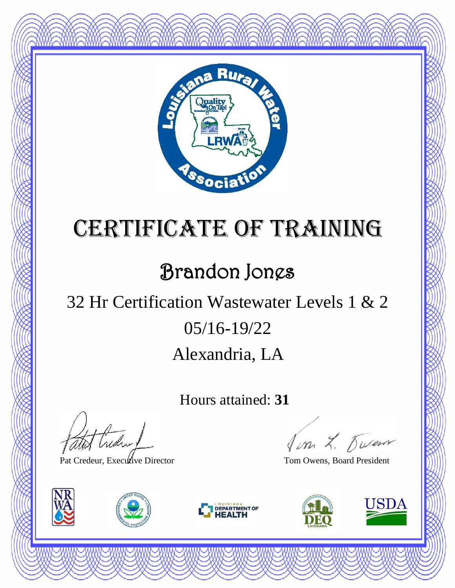

### Brandon Jones

## Alexandria, LA 05/16-19/22 32 Hr Certification Wastewater Levels 1 & 2

Hours attained: **31**

thedral

Pat Credeur, Executive Director Tom Owens, Board President







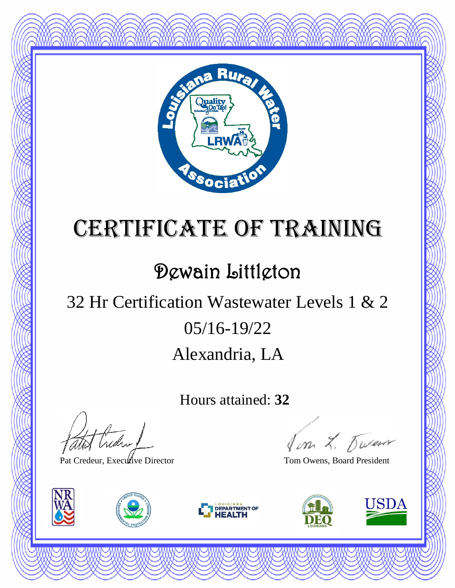

#### Dewain Littleton

### Alexandria, LA 05/16-19/22 32 Hr Certification Wastewater Levels 1 & 2

Hours attained: **32**

thedral

Pat Credeur, Executive Director Tom Owens, Board President







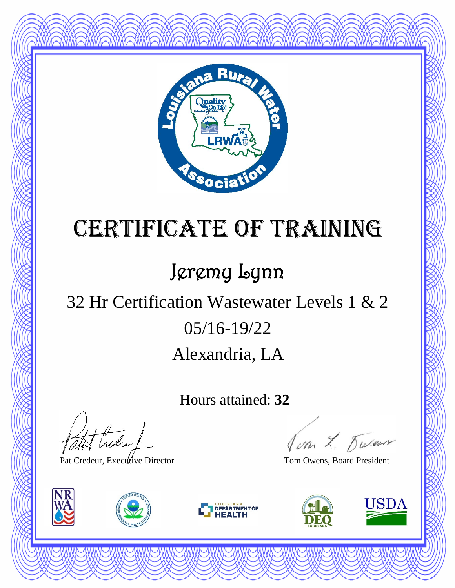

## Jeremy Lynn

### Alexandria, LA 05/16-19/22 32 Hr Certification Wastewater Levels 1 & 2

Hours attained: **32**

thedral

Pat Credeur, Executive Director Tom Owens, Board President







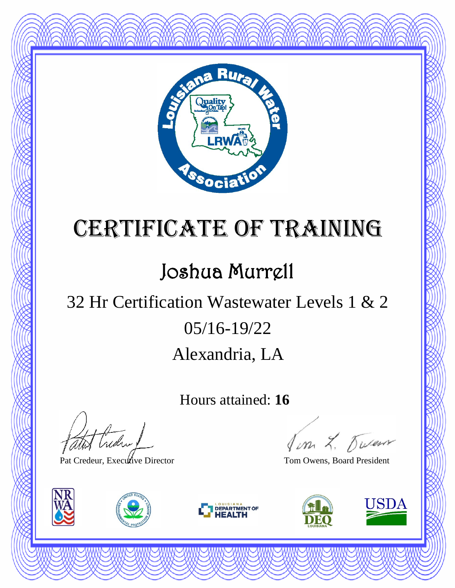

## Joshua Murrell

## Alexandria, LA 05/16-19/22 32 Hr Certification Wastewater Levels 1 & 2

Hours attained: **16**

t treder

Pat Credeur, Executive Director Tom Owens, Board President







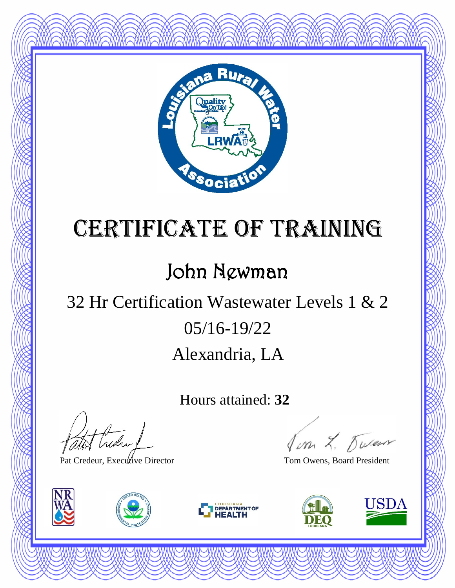

#### John Newman

### Alexandria, LA 05/16-19/22 32 Hr Certification Wastewater Levels 1 & 2

Hours attained: **32**

atot Creden

Pat Credeur, Executive Director Tom Owens, Board President







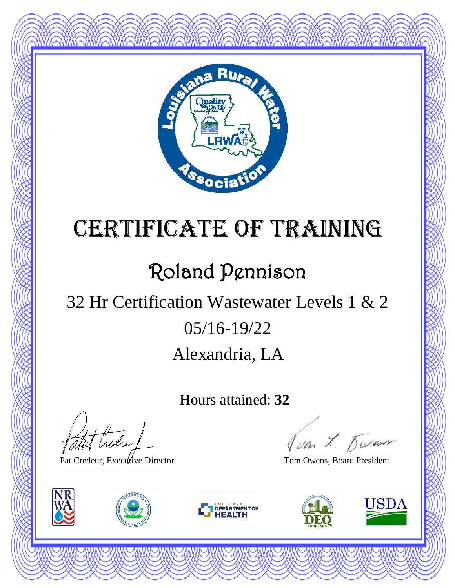

## Roland Pennison

## Alexandria, LA 05/16-19/22 32 Hr Certification Wastewater Levels 1 & 2

Hours attained: **32**

thedra !

Pat Credeur, Executive Director Tom Owens, Board President







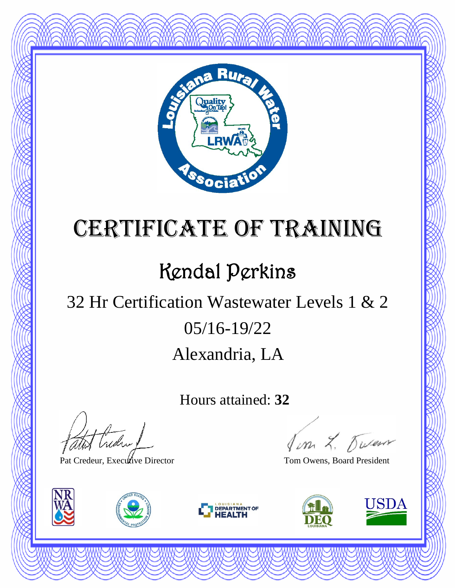

## Kendal Perkins

## Alexandria, LA 05/16-19/22 32 Hr Certification Wastewater Levels 1 & 2

Hours attained: **32**

t treder

Pat Credeur, Executive Director Tom Owens, Board President







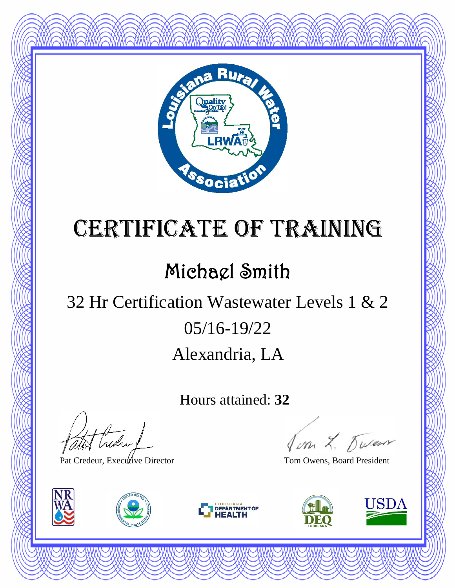

### Michael Smith

## Alexandria, LA 05/16-19/22 32 Hr Certification Wastewater Levels 1 & 2

Hours attained: **32**

atot Creden

Pat Credeur, Executive Director Tom Owens, Board President







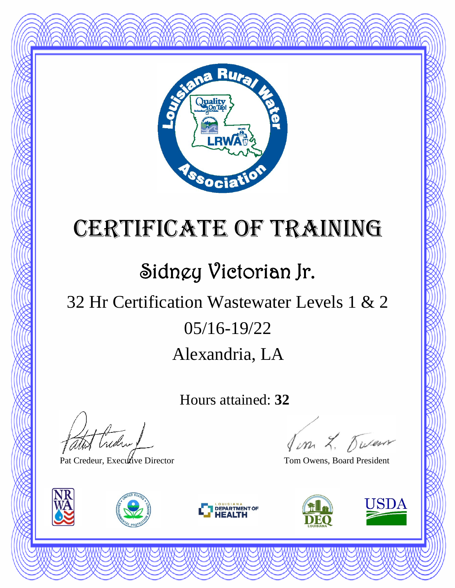

## Sidney Victorian Jr.

## Alexandria, LA 05/16-19/22 32 Hr Certification Wastewater Levels 1 & 2

Hours attained: **32**

Hudry

Pat Credeur, Executive Director Tom Owens, Board President







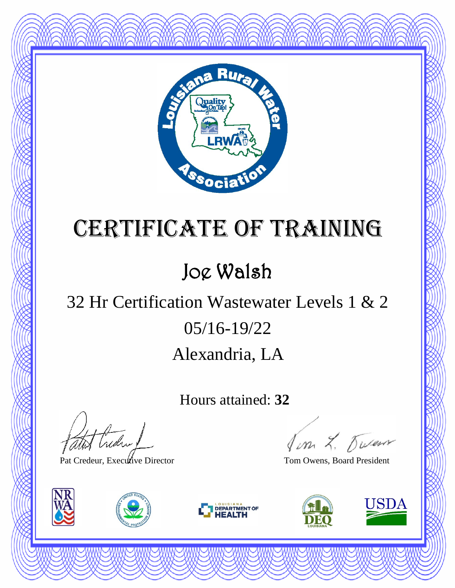

### Joe Walsh

### Alexandria, LA 05/16-19/22 32 Hr Certification Wastewater Levels 1 & 2

Hours attained: **32**

atot Creden 1

Pat Credeur, Executive Director Tom Owens, Board President







Jon L. Duren

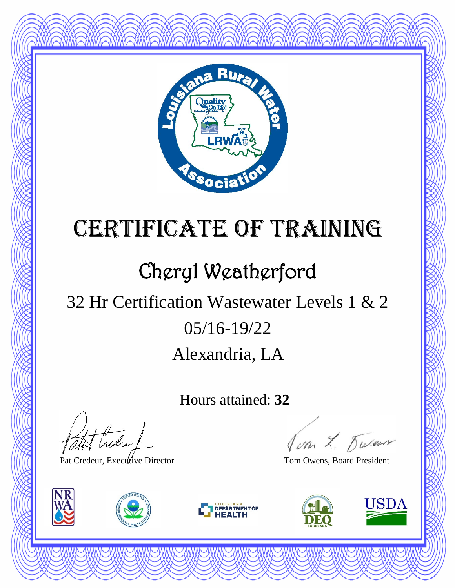

## Cheryl Weatherford

## Alexandria, LA 05/16-19/22 32 Hr Certification Wastewater Levels 1 & 2

Hours attained: **32**

thedral

Pat Credeur, Executive Director Tom Owens, Board President